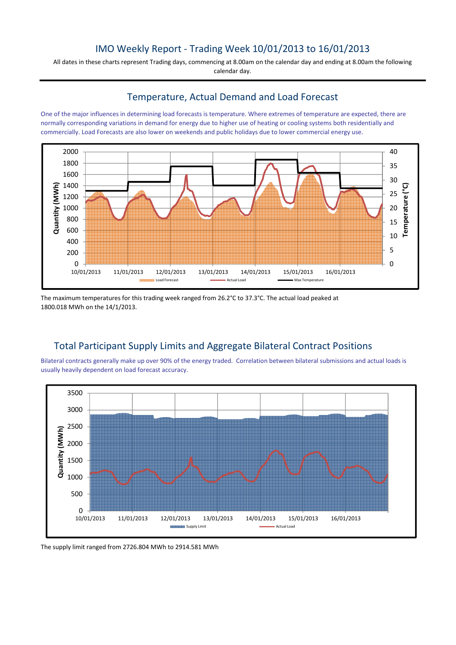# IMO Weekly Report - Trading Week 10/01/2013 to 16/01/2013

All dates in these charts represent Trading days, commencing at 8.00am on the calendar day and ending at 8.00am the following calendar day.

### Temperature, Actual Demand and Load Forecast

One of the major influences in determining load forecasts is temperature. Where extremes of temperature are expected, there are normally corresponding variations in demand for energy due to higher use of heating or cooling systems both residentially and commercially. Load Forecasts are also lower on weekends and public holidays due to lower commercial energy use.



The maximum temperatures for this trading week ranged from 26.2°C to 37.3°C. The actual load peaked at 1800.018 MWh on the 14/1/2013.

## Total Participant Supply Limits and Aggregate Bilateral Contract Positions

Bilateral contracts generally make up over 90% of the energy traded. Correlation between bilateral submissions and actual loads is usually heavily dependent on load forecast accuracy.



The supply limit ranged from 2726.804 MWh to 2914.581 MWh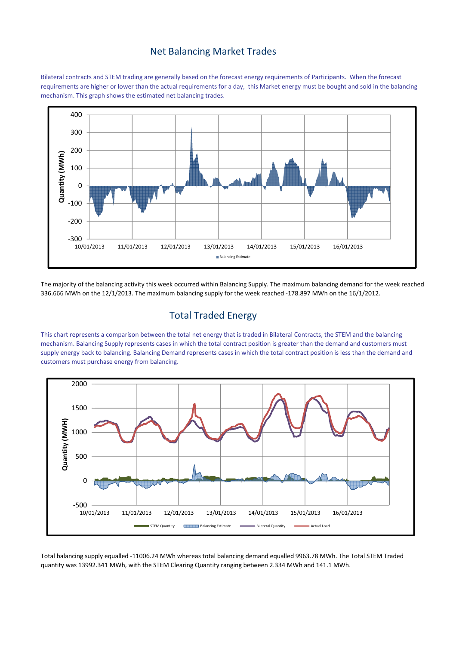### Net Balancing Market Trades

Bilateral contracts and STEM trading are generally based on the forecast energy requirements of Participants. When the forecast requirements are higher or lower than the actual requirements for a day, this Market energy must be bought and sold in the balancing mechanism. This graph shows the estimated net balancing trades.



The majority of the balancing activity this week occurred within Balancing Supply. The maximum balancing demand for the week reached 336.666 MWh on the 12/1/2013. The maximum balancing supply for the week reached -178.897 MWh on the 16/1/2012.

## Total Traded Energy

This chart represents a comparison between the total net energy that is traded in Bilateral Contracts, the STEM and the balancing mechanism. Balancing Supply represents cases in which the total contract position is greater than the demand and customers must supply energy back to balancing. Balancing Demand represents cases in which the total contract position is less than the demand and customers must purchase energy from balancing.



Total balancing supply equalled -11006.24 MWh whereas total balancing demand equalled 9963.78 MWh. The Total STEM Traded quantity was 13992.341 MWh, with the STEM Clearing Quantity ranging between 2.334 MWh and 141.1 MWh.